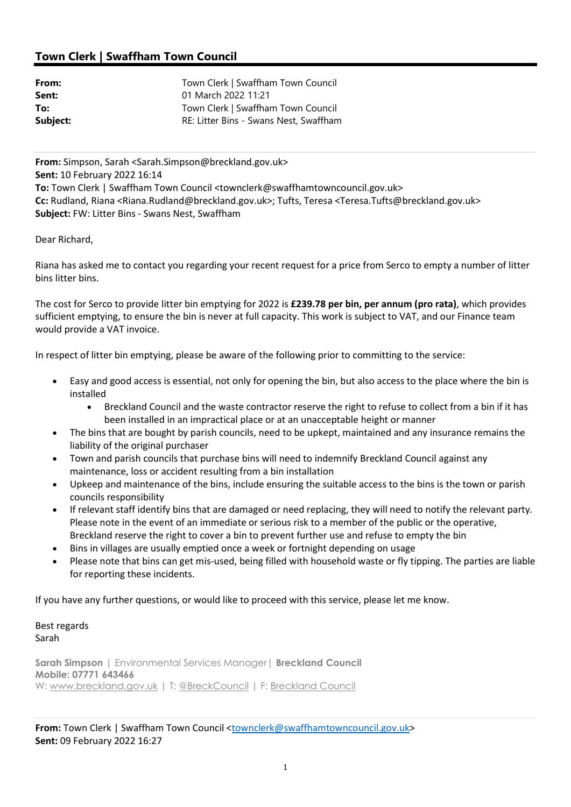## Town Clerk | Swaffham Town Council

| From:    | Town Clerk   Swaffham Town Council     |
|----------|----------------------------------------|
| Sent:    | 01 March 2022 11:21                    |
| To:      | Town Clerk   Swaffham Town Council     |
| Subject: | RE: Litter Bins - Swans Nest, Swaffham |

From: Simpson, Sarah <Sarah.Simpson@breckland.gov.uk> Sent: 10 February 2022 16:14 To: Town Clerk | Swaffham Town Council <townclerk@swaffhamtowncouncil.gov.uk> Cc: Rudland, Riana <Riana.Rudland@breckland.gov.uk>; Tufts, Teresa <Teresa.Tufts@breckland.gov.uk> Subject: FW: Litter Bins - Swans Nest, Swaffham

Dear Richard,

Riana has asked me to contact you regarding your recent request for a price from Serco to empty a number of litter bins litter bins.

The cost for Serco to provide litter bin emptying for 2022 is £239.78 per bin, per annum (pro rata), which provides sufficient emptying, to ensure the bin is never at full capacity. This work is subject to VAT, and our Finance team would provide a VAT invoice.

In respect of litter bin emptying, please be aware of the following prior to committing to the service:

- Easy and good access is essential, not only for opening the bin, but also access to the place where the bin is installed
	- Breckland Council and the waste contractor reserve the right to refuse to collect from a bin if it has been installed in an impractical place or at an unacceptable height or manner
- The bins that are bought by parish councils, need to be upkept, maintained and any insurance remains the liability of the original purchaser
- Town and parish councils that purchase bins will need to indemnify Breckland Council against any maintenance, loss or accident resulting from a bin installation
- Upkeep and maintenance of the bins, include ensuring the suitable access to the bins is the town or parish councils responsibility
- If relevant staff identify bins that are damaged or need replacing, they will need to notify the relevant party. Please note in the event of an immediate or serious risk to a member of the public or the operative, Breckland reserve the right to cover a bin to prevent further use and refuse to empty the bin
- Bins in villages are usually emptied once a week or fortnight depending on usage
- Please note that bins can get mis-used, being filled with household waste or fly tipping. The parties are liable for reporting these incidents.

If you have any further questions, or would like to proceed with this service, please let me know.

Best regards Sarah

Sarah Simpson | Environmental Services Manager | Breckland Council Mobile: 07771 643466 W: www.breckland.gov.uk | T: @BreckCouncil | F: Breckland Council